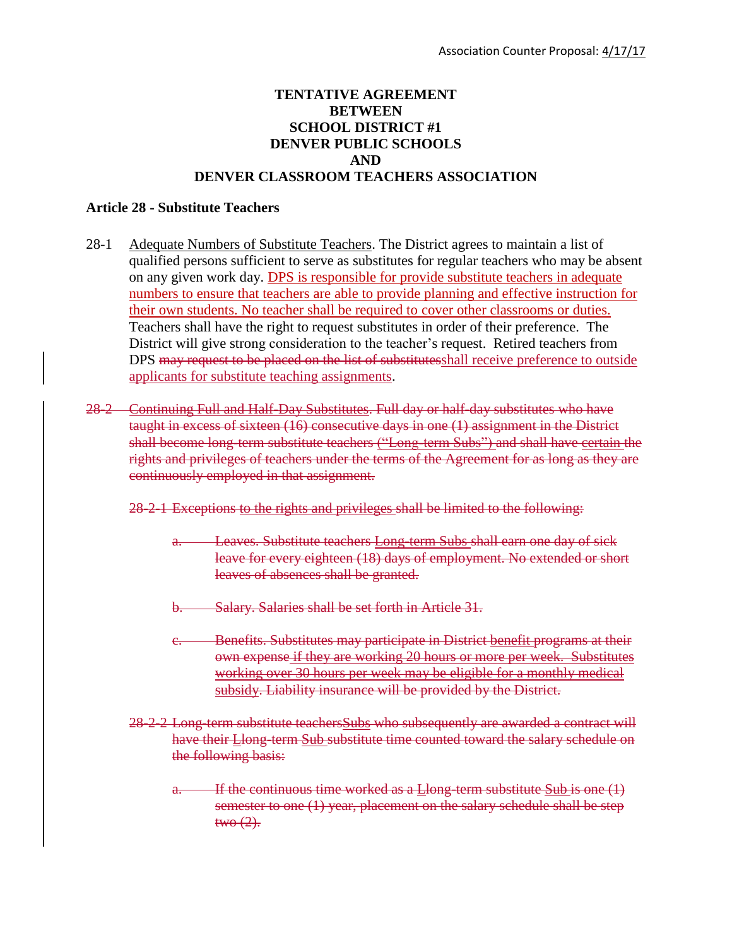## **TENTATIVE AGREEMENT BETWEEN SCHOOL DISTRICT #1 DENVER PUBLIC SCHOOLS AND DENVER CLASSROOM TEACHERS ASSOCIATION**

## **Article 28 - Substitute Teachers**

- 28-1 Adequate Numbers of Substitute Teachers. The District agrees to maintain a list of qualified persons sufficient to serve as substitutes for regular teachers who may be absent on any given work day. DPS is responsible for provide substitute teachers in adequate numbers to ensure that teachers are able to provide planning and effective instruction for their own students. No teacher shall be required to cover other classrooms or duties. Teachers shall have the right to request substitutes in order of their preference. The District will give strong consideration to the teacher's request. Retired teachers from DPS may request to be placed on the list of substitutes hall receive preference to outside applicants for substitute teaching assignments.
- 28-2 Continuing Full and Half-Day Substitutes. Full day or half-day substitutes who have taught in excess of sixteen (16) consecutive days in one (1) assignment in the District shall become long-term substitute teachers ("Long-term Subs") and shall have certain the rights and privileges of teachers under the terms of the Agreement for as long as they are continuously employed in that assignment.
	- 28-2-1 Exceptions to the rights and privileges shall be limited to the following:
		- a. Leaves. Substitute teachers Long-term Subs shall earn one day of sick leave for every eighteen (18) days of employment. No extended or short leaves of absences shall be granted.
		- b. Salary. Salaries shall be set forth in Article 31.
		- Benefits. Substitutes may participate in District benefit programs at their own expense if they are working 20 hours or more per week. Substitutes working over 30 hours per week may be eligible for a monthly medical subsidy. Liability insurance will be provided by the District.
	- 28-2-2 Long-term substitute teachersSubs who subsequently are awarded a contract will have their Llong-term Sub substitute time counted toward the salary schedule on the following basis:
		- a. If the continuous time worked as a  $L$ long-term substitute  $Sub$  is one  $(1)$ semester to one (1) year, placement on the salary schedule shall be step  $two(2)$ .